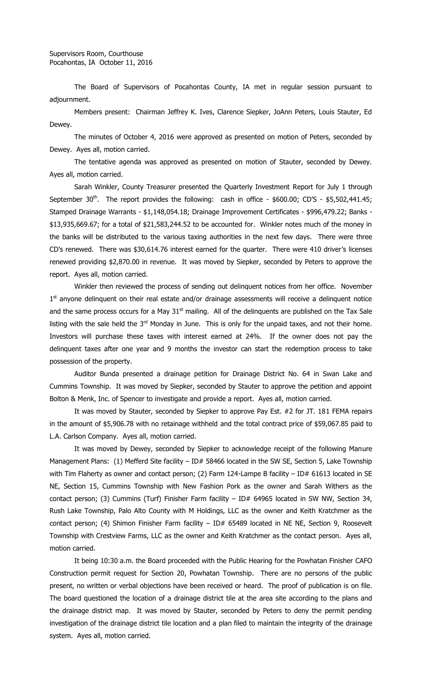The Board of Supervisors of Pocahontas County, IA met in regular session pursuant to adjournment.

Members present: Chairman Jeffrey K. Ives, Clarence Siepker, JoAnn Peters, Louis Stauter, Ed Dewey.

The minutes of October 4, 2016 were approved as presented on motion of Peters, seconded by Dewey. Ayes all, motion carried.

The tentative agenda was approved as presented on motion of Stauter, seconded by Dewey. Ayes all, motion carried.

Sarah Winkler, County Treasurer presented the Quarterly Investment Report for July 1 through September 30<sup>th</sup>. The report provides the following: cash in office - \$600.00; CD'S - \$5,502,441.45; Stamped Drainage Warrants - \$1,148,054.18; Drainage Improvement Certificates - \$996,479.22; Banks - \$13,935,669.67; for a total of \$21,583,244.52 to be accounted for. Winkler notes much of the money in the banks will be distributed to the various taxing authorities in the next few days. There were three CD's renewed. There was \$30,614.76 interest earned for the quarter. There were 410 driver's licenses renewed providing \$2,870.00 in revenue. It was moved by Siepker, seconded by Peters to approve the report. Ayes all, motion carried.

Winkler then reviewed the process of sending out delinquent notices from her office. November 1<sup>st</sup> anyone delinquent on their real estate and/or drainage assessments will receive a delinquent notice and the same process occurs for a May  $31<sup>st</sup>$  mailing. All of the delinquents are published on the Tax Sale listing with the sale held the  $3<sup>rd</sup>$  Monday in June. This is only for the unpaid taxes, and not their home. Investors will purchase these taxes with interest earned at 24%. If the owner does not pay the delinquent taxes after one year and 9 months the investor can start the redemption process to take possession of the property.

Auditor Bunda presented a drainage petition for Drainage District No. 64 in Swan Lake and Cummins Township. It was moved by Siepker, seconded by Stauter to approve the petition and appoint Bolton & Menk, Inc. of Spencer to investigate and provide a report. Ayes all, motion carried.

It was moved by Stauter, seconded by Siepker to approve Pay Est. #2 for JT. 181 FEMA repairs in the amount of \$5,906.78 with no retainage withheld and the total contract price of \$59,067.85 paid to L.A. Carlson Company. Ayes all, motion carried.

It was moved by Dewey, seconded by Siepker to acknowledge receipt of the following Manure Management Plans: (1) Mefferd Site facility - ID# 58466 located in the SW SE, Section 5, Lake Township with Tim Flaherty as owner and contact person; (2) Farm 124-Lampe B facility - ID# 61613 located in SE NE, Section 15, Cummins Township with New Fashion Pork as the owner and Sarah Withers as the contact person; (3) Cummins (Turf) Finisher Farm facility - ID# 64965 located in SW NW, Section 34, Rush Lake Township, Palo Alto County with M Holdings, LLC as the owner and Keith Kratchmer as the contact person; (4) Shimon Finisher Farm facility - ID# 65489 located in NE NE, Section 9, Roosevelt Township with Crestview Farms, LLC as the owner and Keith Kratchmer as the contact person. Ayes all, motion carried.

It being 10:30 a.m. the Board proceeded with the Public Hearing for the Powhatan Finisher CAFO Construction permit request for Section 20, Powhatan Township. There are no persons of the public present, no written or verbal objections have been received or heard. The proof of publication is on file. The board questioned the location of a drainage district tile at the area site according to the plans and the drainage district map. It was moved by Stauter, seconded by Peters to deny the permit pending investigation of the drainage district tile location and a plan filed to maintain the integrity of the drainage system. Ayes all, motion carried.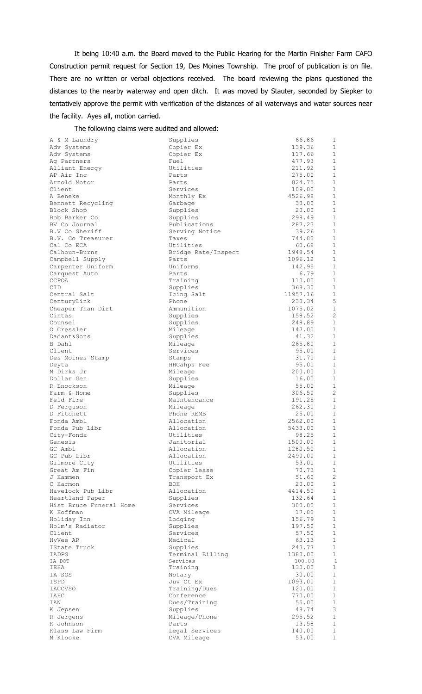It being 10:40 a.m. the Board moved to the Public Hearing for the Martin Finisher Farm CAFO Construction permit request for Section 19, Des Moines Township. The proof of publication is on file. There are no written or verbal objections received. The board reviewing the plans questioned the distances to the nearby waterway and open ditch. It was moved by Stauter, seconded by Siepker to tentatively approve the permit with verification of the distances of all waterways and water sources near the facility. Ayes all, motion carried.

The following claims were audited and allowed:

| A & M Laundry           | Supplies            | 66.86    | 1            |
|-------------------------|---------------------|----------|--------------|
| Adv Systems             | Copier Ex           | 139.36   | 1            |
| Adv Systems             | Copier Ex           | 117.66   | 1            |
| Ag Partners             | Fuel                | 477.93   | 1            |
| Alliant Energy          | Utilities           | 211.92   | $\mathbf{1}$ |
| AP Air Inc              | Parts               | 275.00   | $\mathbf{1}$ |
|                         |                     |          |              |
| Arnold Motor            | Parts               | 824.75   | $\mathbf{1}$ |
| Client                  | Services            | 109.00   | $\mathbf{1}$ |
| A Beneke                | Monthly Ex          | 4526.98  | $\mathbf{1}$ |
| Bennett Recycling       | Garbage             | 33.00    | $\mathbf{1}$ |
| Block Shop              | Supplies            | 20.00    | $\mathbf{1}$ |
| Bob Barker Co           | Supplies            | 298.49   | $\mathbf{1}$ |
| BV Co Journal           | Publications        | 287.23   | $\mathbf{1}$ |
| B.V Co Sheriff          | Serving Notice      | 39.26    | 1            |
| B.V. Co Treasurer       | Taxes               | 744.00   | $\mathbf{1}$ |
|                         | Utilities           |          | $\mathbf{1}$ |
| Cal Co ECA              |                     | 60.68    |              |
| Calhoun-Burns           | Bridge Rate/Inspect | 1948.54  | $\mathbf{1}$ |
| Campbell Supply         | Parts               | 1096.12  | $\mathbf{1}$ |
| Carpenter Uniform       | Uniforms            | 142.95   | $\mathbf{1}$ |
| Carquest Auto           | Parts               | 6.79     | $\mathbf{1}$ |
| CCPOA                   | Training            | 110.00   | $\mathbf{1}$ |
| CID                     | Supplies            | 368.30   | $\mathbf{1}$ |
| Central Salt            | Icing Salt          | 11957.16 | $\mathbf 1$  |
| CenturyLink             | Phone               | 230.34   | 5            |
|                         |                     |          |              |
| Cheaper Than Dirt       | Ammunition          | 1075.02  | $\mathbf{1}$ |
| Cintas                  | Supplies            | 158.52   | 2            |
| Counsel                 | Supplies            | 248.89   | 1            |
| 0 Cressler              | Mileage             | 147.00   | $\mathbf{1}$ |
| Dadant&Sons             | Supplies            | 41.32    | 1            |
| B Dahl                  | Mileage             | 265.80   | $\mathbf{1}$ |
| Client                  | Services            | 95.00    | $\mathbf{1}$ |
| Des Moines Stamp        | Stamps              | 31.70    | $\mathbf{1}$ |
| Deyta                   | HHCahps Fee         | 95.00    | 1            |
| M Dirks Jr              |                     |          | 1            |
|                         | Mileage             | 200.00   |              |
| Dollar Gen              | Supplies            | 16.00    | $\mathbf{1}$ |
| R Enockson              | Mileage             | 55.00    | $\mathbf{1}$ |
| Farm & Home             | Supplies            | 306.50   | $\mathbf{2}$ |
| Feld Fire               | Maintencance        | 191.25   | $\mathbf{1}$ |
| D Ferguson              | Mileage             | 262.30   | 1            |
| D Fitchett              | Phone REMB          | 25.00    | 1            |
| Fonda Ambl              | Allocation          | 2562.00  | $\mathbf{1}$ |
| Fonda Pub Libr          | Allocation          | 5433.00  | 1            |
| City-Fonda              | Utilities           | 98.25    | 1            |
| Genesis                 | Janitorial          |          | 1            |
|                         |                     | 1500.00  |              |
| GC Ambl                 | Allocation          | 1280.50  | 1            |
| GC Pub Libr             | Allocation          | 2490.00  | $\mathbf{1}$ |
| Gilmore City            | Utilities           | 53.00    | $\mathbf{1}$ |
| Great Am Fin            | Copier Lease        | 70.73    | $\mathbf{1}$ |
| J Hammen                | Transport Ex        | 51.60    | 2            |
| C Harmon                | <b>BOH</b>          | 20.00    | $\mathbf 1$  |
| Havelock Pub Libr       | Allocation          | 4414.50  | $\mathbf{1}$ |
| Heartland Paper         | Supplies            | 132.64   | $\mathbf{1}$ |
| Hist Bruce Funeral Home | Services            | 300.00   | 1            |
|                         |                     |          |              |
| K Hoffman               | CVA Mileage         | 17.00    | $\mathbf{1}$ |
| Holiday Inn             | Lodging             | 156.79   | $\mathbf{1}$ |
| Holm's Radiator         | Supplies            | 197.50   | $\mathbf{1}$ |
| Client                  | Services            | 57.50    | $\mathbf{1}$ |
| HyVee AR                | Medical             | 63.13    | $\mathbf{1}$ |
| IState Truck            | Supplies            | 243.77   | $\mathbf{1}$ |
| IADPS                   | Terminal Billing    | 1380.00  | $\mathbf 1$  |
| IA DOT                  | Services            | 100.00   | $\mathbf{1}$ |
| IEHA                    | Training            | 130.00   | $\mathbf{1}$ |
| IA SOS                  | Notary              | 30.00    | 1            |
| ISPD                    | Juv Ct Ex           | 1093.00  | $\mathbf{1}$ |
|                         |                     |          |              |
| <b>IACCVSO</b>          | Training/Dues       | 120.00   | $\mathbf{1}$ |
| IAHC                    | Conference          | 770.00   | $\mathbf 1$  |
| IAN                     | Dues/Training       | 55.00    | $\mathbf{1}$ |
| K Jepsen                | Supplies            | 48.74    | 3            |
| R Jergens               | Mileage/Phone       | 295.52   | 1            |
| K Johnson               | Parts               | 13.58    | $\mathbf{1}$ |
| Klass Law Firm          | Legal Services      | 140.00   | $\mathbf{1}$ |
| M Klocke                | CVA Mileage         | 53.00    | $\mathbf 1$  |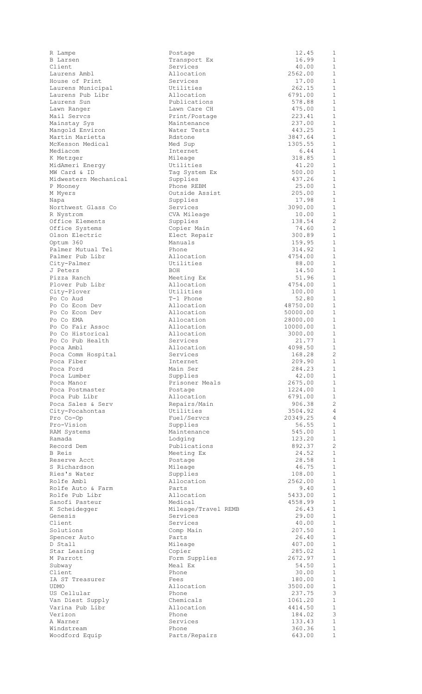| R Lampe                             | Postage                         | 12.45             | $\mathbf{1}$                     |
|-------------------------------------|---------------------------------|-------------------|----------------------------------|
| B Larsen                            | Transport Ex                    | 16.99             | 1                                |
| Client                              | Services                        | 40.00             | $\mathbf{1}$                     |
| Laurens Ambl                        | Allocation                      | 2562.00           | $\mathbf{1}$                     |
| House of Print                      | Services                        | 17.00             | $\mathbf{1}$                     |
| Laurens Municipal                   | Utilities                       | 262.15            | $\mathbf{1}$                     |
| Laurens Pub Libr                    | Allocation                      | 6791.00           | $\mathbf 1$                      |
| Laurens Sun                         | Publications                    | 578.88            | $\mathbf{1}$                     |
| Lawn Ranger                         | Lawn Care CH                    | 475.00            | $\mathbf{1}$                     |
| Mail Servcs                         | Print/Postage                   | 223.41            | $\mathbf{1}$                     |
| Mainstay Sys                        | Maintenance                     | 237.00            | $\mathbf{1}$                     |
| Mangold Environ                     | Water Tests                     | 443.25            | $\mathbf 1$                      |
| Martin Marietta                     | Rdstone                         | 3847.64           | $\mathbf{1}$                     |
| McKesson Medical                    | Med Sup                         | 1305.55           | $\mathbf{1}$                     |
| Mediacom                            | Internet                        | 6.44              | $\mathbf{1}$                     |
| K Metzger                           | Mileage                         | 318.85            | $\mathbf 1$                      |
| MidAmeri Energy                     | Utilities                       | 41.20             | $\mathbf{1}$                     |
| MW Card & ID                        | Tag System Ex                   | 500.00            | $\mathbf{1}$                     |
| Midwestern Mechanical               | Supplies                        | 437.26            | 1                                |
| P Mooney                            | Phone REBM                      | 25.00             | $\mathbf{1}$                     |
| M Myers                             | Outside Assist                  | 205.00            | $\mathbf{1}$                     |
| Napa                                | Supplies                        | 17.98             | $\mathbf{1}$                     |
| Northwest Glass Co                  | Services                        | 3090.00           | $\mathbf 1$                      |
| R Nystrom                           | CVA Mileage                     | 10.00             | $\mathbf{1}$                     |
| Office Elements                     | Supplies                        | 138.54            | 2                                |
| Office Systems                      | Copier Main                     | 74.60             | $\mathbf{1}$                     |
| Olson Electric                      | Elect Repair                    | 300.89            | $\mathbf{1}$                     |
| Optum 360                           | Manuals                         | 159.95            | $\mathbf{1}$                     |
| Palmer Mutual Tel                   | Phone                           | 314.92            | $\mathbf{1}$                     |
| Palmer Pub Libr                     | Allocation                      | 4754.00           | $\mathbf{1}$                     |
| City-Palmer                         | Utilities                       | 88.00             | $\mathbf 1$                      |
| J Peters                            | <b>BOH</b>                      | 14.50             | $\mathbf{1}$                     |
| Pizza Ranch                         | Meeting Ex                      | 51.96             | $\mathbf{1}$                     |
| Plover Pub Libr                     | Allocation                      | 4754.00           | $\mathbf{1}$                     |
| City-Plover                         | Utilities                       | 100.00            | $\mathbf{1}$                     |
| Po Co Aud                           | T-1 Phone                       | 52.80             | $\mathbf{1}$                     |
| Po Co Econ Dev                      | Allocation                      | 48750.00          | $\mathbf{1}$                     |
| Po Co Econ Dev                      | Allocation                      | 50000.00          | $\mathbf{1}$                     |
| Po Co EMA                           | Allocation                      | 28000.00          | 1                                |
| Po Co Fair Assoc                    | Allocation                      | 10000.00          | $\mathbf{1}$                     |
| Po Co Historical                    | Allocation                      | 3000.00           | $\mathbf 1$                      |
| Po Co Pub Health                    | Services                        | 21.77             | $\mathbf{1}$                     |
| Poca Ambl                           | Allocation                      | 4098.50           | $\mathbf{1}$                     |
| Poca Comm Hospital                  | Services                        | 168.28            | $\mathbf{2}$                     |
|                                     |                                 |                   |                                  |
| Poca Fiber                          | Internet                        |                   | 1                                |
| Poca Ford                           | Main Ser                        | 209.90<br>284.23  | $\mathbf{1}$                     |
| Poca Lumber                         |                                 | 42.00             | $\mathbf{1}$                     |
| Poca Manor                          | Supplies<br>Prisoner Meals      | 2675.00           | $\mathbf{1}$                     |
| Poca Postmaster                     | Postage                         | 1224.00           | $\mathbf{1}$                     |
| Poca Pub Libr                       |                                 | 6791.00           | $\mathbf{1}$                     |
| Poca Sales & Serv                   | Allocation                      | 906.38            |                                  |
|                                     | Repairs/Main<br>Utilities       | 3504.92           | $\overline{2}$<br>$\overline{4}$ |
| City-Pocahontas                     | Fuel/Servcs                     | 20349.25          | $\overline{4}$                   |
| Pro Co-Op<br>Pro-Vision             | Supplies                        | 56.55             | $\mathbf{1}$                     |
|                                     | Maintenance                     | 545.00            | $\mathbf{1}$                     |
| RAM Systems<br>Ramada               |                                 |                   | $\mathbf{1}$                     |
| Record Dem                          | Lodging<br>Publications         | 123.20<br>892.37  | $\mathbf{2}$                     |
| B Reis                              | Meeting Ex                      | 24.52             | $\mathbf{1}$                     |
| Reserve Acct                        | Postage                         | 28.58             | $\mathbf{1}$                     |
| S Richardson                        | Mileage                         | 46.75             | $\mathbf{1}$                     |
| Ries's Water                        | Supplies                        | 108.00            | $\mathbf{1}$                     |
| Rolfe Ambl                          | Allocation                      | 2562.00           | $\mathbf 1$                      |
| Rolfe Auto & Farm                   | Parts                           | 9.40              | $\mathbf{1}$                     |
| Rolfe Pub Libr                      | Allocation                      | 5433.00           | $\mathbf{1}$                     |
| Sanofi Pasteur                      | Medical                         | 4558.99           | $\mathbf{1}$                     |
| K Scheidegger                       |                                 | 26.43             | $\mathbf{1}$                     |
| Genesis                             | Mileage/Travel REMB<br>Services | 29.00             | $\mathbf{1}$                     |
| Client                              | Services                        | 40.00             | $\mathbf{1}$                     |
| Solutions                           |                                 |                   | $\mathbf{1}$                     |
|                                     | Comp Main<br>Parts              | 207.50<br>26.40   | $\mathbf{1}$                     |
| Spencer Auto<br>D Stall             |                                 | 407.00            | $\mathbf{1}$                     |
| Star Leasing                        | Mileage<br>Copier               |                   | $\mathbf 1$                      |
| M Parrott                           |                                 | 285.02            | $\mathbf{1}$                     |
| Subway                              | Form Supplies<br>Meal Ex        | 2672.97<br>54.50  | $\mathbf{1}$                     |
| Client                              | Phone                           | 30.00             | $\mathbf{1}$                     |
| IA ST Treasurer                     | Fees                            |                   | $\mathbf{1}$                     |
| <b>UDMO</b>                         | Allocation                      | 180.00            | $\mathbf{1}$                     |
| US Cellular                         | Phone                           | 3500.00<br>237.75 |                                  |
|                                     | Chemicals                       | 1061.20           | 3<br>$\mathbf{1}$                |
| Van Diest Supply<br>Varina Pub Libr | Allocation                      | 4414.50           | $\mathbf{1}$                     |
| Verizon                             | Phone                           |                   |                                  |
| A Warner                            | Services                        | 184.02            | $\mathsf 3$<br>$\mathbf 1$       |
| Windstream                          |                                 | 133.43            | $\mathbf{1}$                     |
| Woodford Equip                      | Phone<br>Parts/Repairs          | 360.36<br>643.00  | $\mathbf 1$                      |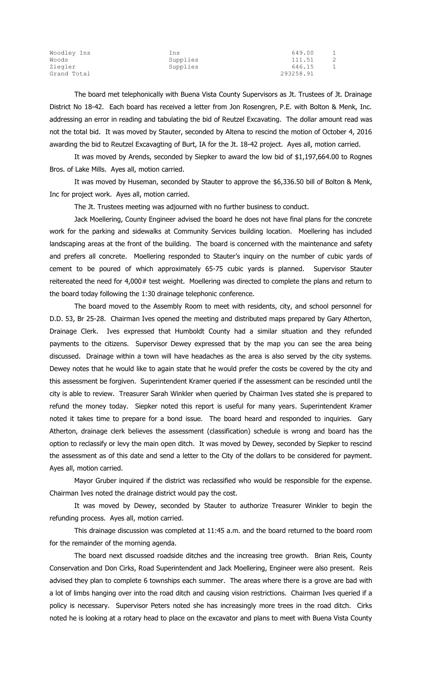| Woodley Ins | Ins      | 649.00    |    |
|-------------|----------|-----------|----|
| Woods       | Supplies | 111.51    | -2 |
| Ziegler     | Supplies | 646.15    |    |
| Grand Total |          | 293258.91 |    |

The board met telephonically with Buena Vista County Supervisors as Jt. Trustees of Jt. Drainage District No 18-42. Each board has received a letter from Jon Rosengren, P.E. with Bolton & Menk, Inc. addressing an error in reading and tabulating the bid of Reutzel Excavating. The dollar amount read was not the total bid. It was moved by Stauter, seconded by Altena to rescind the motion of October 4, 2016 awarding the bid to Reutzel Excavagting of Burt, IA for the Jt. 18-42 project. Ayes all, motion carried.

It was moved by Arends, seconded by Siepker to award the low bid of \$1,197,664.00 to Rognes Bros. of Lake Mills. Ayes all, motion carried.

It was moved by Huseman, seconded by Stauter to approve the \$6,336.50 bill of Bolton & Menk, Inc for project work. Ayes all, motion carried.

The Jt. Trustees meeting was adjourned with no further business to conduct.

Jack Moellering, County Engineer advised the board he does not have final plans for the concrete work for the parking and sidewalks at Community Services building location. Moellering has included landscaping areas at the front of the building. The board is concerned with the maintenance and safety and prefers all concrete. Moellering responded to Stauter's inquiry on the number of cubic yards of cement to be poured of which approximately 65-75 cubic yards is planned. Supervisor Stauter reitereated the need for 4,000# test weight. Moellering was directed to complete the plans and return to the board today following the 1:30 drainage telephonic conference.

The board moved to the Assembly Room to meet with residents, city, and school personnel for D.D. 53, Br 25-28. Chairman Ives opened the meeting and distributed maps prepared by Gary Atherton, Drainage Clerk. Ives expressed that Humboldt County had a similar situation and they refunded payments to the citizens. Supervisor Dewey expressed that by the map you can see the area being discussed. Drainage within a town will have headaches as the area is also served by the city systems. Dewey notes that he would like to again state that he would prefer the costs be covered by the city and this assessment be forgiven. Superintendent Kramer queried if the assessment can be rescinded until the city is able to review. Treasurer Sarah Winkler when queried by Chairman Ives stated she is prepared to refund the money today. Siepker noted this report is useful for many years. Superintendent Kramer noted it takes time to prepare for a bond issue. The board heard and responded to inquiries. Gary Atherton, drainage clerk believes the assessment (classification) schedule is wrong and board has the option to reclassify or levy the main open ditch. It was moved by Dewey, seconded by Siepker to rescind the assessment as of this date and send a letter to the City of the dollars to be considered for payment. Ayes all, motion carried.

Mayor Gruber inquired if the district was reclassified who would be responsible for the expense. Chairman Ives noted the drainage district would pay the cost.

It was moved by Dewey, seconded by Stauter to authorize Treasurer Winkler to begin the refunding process. Ayes all, motion carried.

This drainage discussion was completed at 11:45 a.m. and the board returned to the board room for the remainder of the morning agenda.

The board next discussed roadside ditches and the increasing tree growth. Brian Reis, County Conservation and Don Cirks, Road Superintendent and Jack Moellering, Engineer were also present. Reis advised they plan to complete 6 townships each summer. The areas where there is a grove are bad with a lot of limbs hanging over into the road ditch and causing vision restrictions. Chairman Ives queried if a policy is necessary. Supervisor Peters noted she has increasingly more trees in the road ditch. Cirks noted he is looking at a rotary head to place on the excavator and plans to meet with Buena Vista County